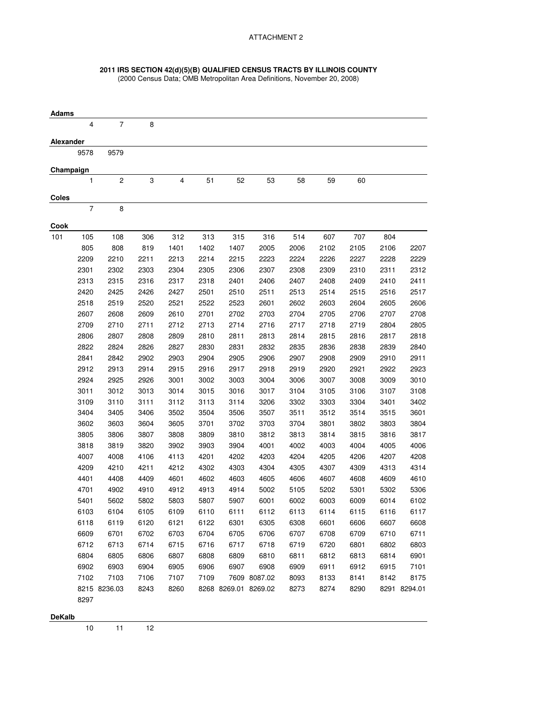## **2011 IRS SECTION 42(d)(5)(B) QUALIFIED CENSUS TRACTS BY ILLINOIS COUNTY**

(2000 Census Data; OMB Metropolitan Area Definitions, November 20, 2008)

| <b>Adams</b> |                |                          |      |      |      |      |                      |      |      |      |      |              |
|--------------|----------------|--------------------------|------|------|------|------|----------------------|------|------|------|------|--------------|
|              | 4              | $\overline{\mathcal{I}}$ | 8    |      |      |      |                      |      |      |      |      |              |
| Alexander    |                |                          |      |      |      |      |                      |      |      |      |      |              |
|              | 9578           | 9579                     |      |      |      |      |                      |      |      |      |      |              |
| Champaign    |                |                          |      |      |      |      |                      |      |      |      |      |              |
|              | 1              | $\boldsymbol{2}$         | 3    | 4    | 51   | 52   | 53                   | 58   | 59   | 60   |      |              |
| <b>Coles</b> |                |                          |      |      |      |      |                      |      |      |      |      |              |
|              | $\overline{7}$ | 8                        |      |      |      |      |                      |      |      |      |      |              |
| Cook         |                |                          |      |      |      |      |                      |      |      |      |      |              |
| 101          | 105            | 108                      | 306  | 312  | 313  | 315  | 316                  | 514  | 607  | 707  | 804  |              |
|              | 805            | 808                      | 819  | 1401 | 1402 | 1407 | 2005                 | 2006 | 2102 | 2105 | 2106 | 2207         |
|              | 2209           | 2210                     | 2211 | 2213 | 2214 | 2215 | 2223                 | 2224 | 2226 | 2227 | 2228 | 2229         |
|              | 2301           | 2302                     | 2303 | 2304 | 2305 | 2306 | 2307                 | 2308 | 2309 | 2310 | 2311 | 2312         |
|              | 2313           | 2315                     | 2316 | 2317 | 2318 | 2401 | 2406                 | 2407 | 2408 | 2409 | 2410 | 2411         |
|              | 2420           | 2425                     | 2426 | 2427 | 2501 | 2510 | 2511                 | 2513 | 2514 | 2515 | 2516 | 2517         |
|              | 2518           | 2519                     | 2520 | 2521 | 2522 | 2523 | 2601                 | 2602 | 2603 | 2604 | 2605 | 2606         |
|              | 2607           | 2608                     | 2609 | 2610 | 2701 | 2702 | 2703                 | 2704 | 2705 | 2706 | 2707 | 2708         |
|              | 2709           | 2710                     | 2711 | 2712 | 2713 | 2714 | 2716                 | 2717 | 2718 | 2719 | 2804 | 2805         |
|              | 2806           | 2807                     | 2808 | 2809 | 2810 | 2811 | 2813                 | 2814 | 2815 | 2816 | 2817 | 2818         |
|              | 2822           | 2824                     | 2826 | 2827 | 2830 | 2831 | 2832                 | 2835 | 2836 | 2838 | 2839 | 2840         |
|              | 2841           | 2842                     | 2902 | 2903 | 2904 | 2905 | 2906                 | 2907 | 2908 | 2909 | 2910 | 2911         |
|              | 2912           | 2913                     | 2914 | 2915 | 2916 | 2917 | 2918                 | 2919 | 2920 | 2921 | 2922 | 2923         |
|              | 2924           | 2925                     | 2926 | 3001 | 3002 | 3003 | 3004                 | 3006 | 3007 | 3008 | 3009 | 3010         |
|              | 3011           | 3012                     | 3013 | 3014 | 3015 | 3016 | 3017                 | 3104 | 3105 | 3106 | 3107 | 3108         |
|              | 3109           | 3110                     | 3111 | 3112 | 3113 | 3114 | 3206                 | 3302 | 3303 | 3304 | 3401 | 3402         |
|              | 3404           | 3405                     | 3406 | 3502 | 3504 | 3506 | 3507                 | 3511 | 3512 | 3514 | 3515 | 3601         |
|              | 3602           | 3603                     | 3604 | 3605 | 3701 | 3702 | 3703                 | 3704 | 3801 | 3802 | 3803 | 3804         |
|              | 3805           | 3806                     | 3807 | 3808 | 3809 | 3810 | 3812                 | 3813 | 3814 | 3815 | 3816 | 3817         |
|              | 3818           | 3819                     | 3820 | 3902 | 3903 | 3904 | 4001                 | 4002 | 4003 | 4004 | 4005 | 4006         |
|              | 4007           | 4008                     | 4106 | 4113 | 4201 | 4202 | 4203                 | 4204 | 4205 | 4206 | 4207 | 4208         |
|              | 4209           | 4210                     | 4211 | 4212 | 4302 | 4303 | 4304                 | 4305 | 4307 | 4309 | 4313 | 4314         |
|              | 4401           | 4408                     | 4409 | 4601 | 4602 | 4603 | 4605                 | 4606 | 4607 | 4608 | 4609 | 4610         |
|              | 4701           | 4902                     | 4910 | 4912 | 4913 | 4914 | 5002                 | 5105 | 5202 | 5301 | 5302 | 5306         |
|              | 5401           | 5602                     | 5802 | 5803 | 5807 | 5907 | 6001                 | 6002 | 6003 | 6009 | 6014 | 6102         |
|              | 6103           | 6104                     | 6105 | 6109 | 6110 | 6111 | 6112                 | 6113 | 6114 | 6115 | 6116 | 6117         |
|              | 6118           | 6119                     | 6120 | 6121 | 6122 | 6301 | 6305                 | 6308 | 6601 | 6606 | 6607 | 6608         |
|              | 6609           | 6701                     | 6702 | 6703 | 6704 | 6705 | 6706                 | 6707 | 6708 | 6709 | 6710 | 6711         |
|              | 6712           | 6713                     | 6714 | 6715 | 6716 | 6717 | 6718                 | 6719 | 6720 | 6801 | 6802 | 6803         |
|              | 6804           | 6805                     | 6806 | 6807 | 6808 | 6809 | 6810                 | 6811 | 6812 | 6813 | 6814 | 6901         |
|              | 6902           | 6903                     | 6904 | 6905 | 6906 | 6907 | 6908                 | 6909 | 6911 | 6912 | 6915 | 7101         |
|              | 7102           | 7103                     | 7106 | 7107 | 7109 |      | 7609 8087.02         | 8093 | 8133 | 8141 | 8142 | 8175         |
|              |                | 8215 8236.03             | 8243 | 8260 |      |      | 8268 8269.01 8269.02 | 8273 | 8274 | 8290 |      | 8291 8294.01 |
|              | 8297           |                          |      |      |      |      |                      |      |      |      |      |              |
|              |                |                          |      |      |      |      |                      |      |      |      |      |              |

**DeKalb**

10 11 12